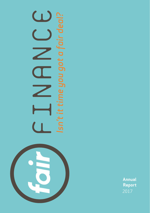

# $\bigcup$ *Isn't it time you got a fair deal?* <u>r.</u> 'sn't it time you got a fair de

**Annual Report**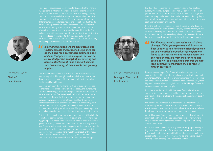

Matthew Jones Chair of Fair Finance

of finance have no choice but to exist, too often having only high cost credit options available to them - a risk premium that often have one thing in common: a need for access to finance for life's unforeseen or lumpy expenditure. Finance that's transparent, affordable, competitive and responsibly-made. Finance that's lent and managed with a genuine empathy for the significant difficulties this group faces in terms of its thin credit data, low credit scores and exclusion from the mainstream. Finance that is not predatory, entrapping or excessively priced. Fair finance.

*In serving this need, we are also determined*<br>
to demonstrate that responsible finance car<br>
be the basis for a sustainable business mod<br>
and one that generates a surplus that can be *to demonstrate that responsible finance can be the basis for a sustainable business modeland one that generates a surplus that can be reinvested for the benefit of our existing and new clients. We want to be a social business that has meaningful, measurable and growing impact.*

Our evolution from the fledgling start-up of over 10 years ago success, have brought additional responsibilities and the need for more infrastructure. We have therefore introduced more robust governance and controls, developed more extensive compliance and reporting processes, strengthened our Board, committees fairness, responsibility and client-focus. Many of these steps have

quicker – although always in a robust and sustainable way. For the next 5 years, we have set stretching goals for the number of people amount we want to lend and the investment that all of this requires. I would like to thank our dedicated staff, and all our investors,

2 3



Faisel Rahman OBE Managing Director of Fair Finance

In 2005 when I launched Fair Finance in a converted doctor's people who'd had no contact with a bank for years, who regularly used doorstep lenders and often had experiences of using illegal moneylenders. Most of them wanted to meet face to face, preferred

technology with the rapid growth of payday lending, and in type with an expansion in high cost lenders for business and personal use.

*Fair Finance has also evolved to match these*<br>
changes. We've grown from a small branch in<br>
East London to now having a national present<br>
We've diversified our products from personal *changes. We've grown from a small branch in East London to now having a national presence. We've diversified our products from personal loans to business loans and money advice; and evolved our offering from the branch to also online as well as developing partnerships with local community organisations and mobile fintech providers.* 

People now coming to Fair Finance have bank accounts and occasionally credits cards; but are also using payday lenders and pawnshops. Many of our clients are now in employment (part time now mainstream for many people.

It is clear that the relationship between financial exclusion and inclusion is not a binary one. They have complex and often

why they repay their loans or listen to advice, they refer friends and

What this Annual Report shows is our progress and development in navigating this transition as a business but also how we have

While the document contains many numbers and graphs, we hope it gives also an indication of the impact on the people who make up those numbers. It is this impact that has led us to keep challenging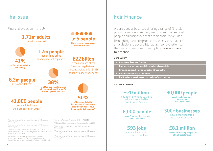## The Issue

Financial exclusion in the UK:

**1.71m adults** remain unbanked**<sup>1</sup> 12m people** use the sub prime lending market regularly<sup>4</sup> **41% of British households are saving3**

**8.2m people** are overindebted<sup>6</sup>



**of SMEs less than five years old have their application for finance rejected by banks<sup>7</sup>**

**41,000 people** were evicted from their properties in 2015<sup>8</sup>



**of households in the bottom half of the income distribution do not have home contents insurance9**

**£22 bilion** is the estimate of the financing gap between amount available for SMEs and the finance they need<sup>5</sup>

**1 in 5 people could not meet an unexpected expense of £200**<sup>2</sup>

<sup>1</sup>Financial Inclusion Annual Monitoring Report 2016, University of Birmingham

<sup>2</sup>Financial Inclusion Annual Monitoring Report 2016, University of Birmingham

<sup>3</sup>Family Resources Survey data in Rowlingson, K. & McKay, S., 2014. Financial Inclusion: Annual monitoring report 2014, Birmingham: University of Birmingham

4 Non Standard Finance Company Presentation, www. nonstandardfinance.com/~/media/Files/N/Non-Standard-Finance-V2/reports-and-presentations/nsf-may-16-slides.pdf <sup>5</sup>Improving Access to Finance for SMEs – NAO 2013

<sup>6</sup>A Picture of Over-Indebtedness, Money Advice Service 2016

<sup>7</sup>Improving Access to Finance for SMEs, National Audit Office, 2013

<sup>8</sup> Financial Inclusion Annual Monitoring Report 2016, University of Birmingham

<sup>9</sup>Financial Inclusion Annual Monitoring Report 2016, University of Birmingham

## Fair Finance

We are a social business offering a range of financial products and services designed to meet the needs of people and businesses that are financially excluded.

Through high-quality products and services that are affordable and accessible, we aim to revolutionise the financial services industry to give everyone a fair chance.

#### **CORE VALUES**

- **Customers deserve a fair deal**
- **Products and services should be simple and accessible**
- **Financial advice should be honest and trustworthy**
- **Credit should be affordable for all**
- **Profits should be reinvested for the benefit of customers**

#### **SINCE OUR LAUNCH...**

**£20 million**  has been extended to those who are excluded by traditional finance

## **6,000 people**

**saved from eviction through timely debt advice**

**593 jobs** sustained or created as a result of our loans **30,000 people**

**have been helped by us with advice, loans or support**

## **300+ businesses**

have been supported with business loans

**£8.1 million saved by refinancing people out of high cost lenders**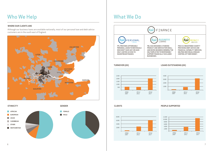# Who We Help **What We Do**

### **WHERE OUR CLIENTS ARE**

Although our business loans are available nationally, most of our personal loan and debt advice customers are in the south east of England.







**TURNOVER (£K)**



#### **LOANS OUTSTANDING (£K)**





#### **PEOPLE SUPPORTED**

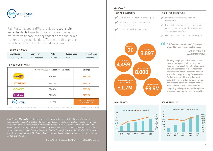

Fair Personal Loans (FPL) provides responsible and affordable loans to those who are excluded by mainstream finance and dependent on the sub-prime market of high-cost lenders. We operate through our branch network in London as well as online. **Fair Personal Loans helped give me peace** 

#### **FPL'S CORE PRODUCT**

| Loan Range      | Loan Term       | <b>APR</b> | <b>Typical Loan</b> | <b>Typical Term</b> |
|-----------------|-----------------|------------|---------------------|---------------------|
| $£100 - £3.000$ | $6 - 18$ months | c. 136%    | £500                | 6 months            |

#### **HOW DO WE COMPARE?**

|                                            | A typical £500 loan cost over 26 weeks | <b>Savings</b>                                       |
|--------------------------------------------|----------------------------------------|------------------------------------------------------|
| peac                                       | £999.90                                | £357.40                                              |
| <b>Satsuma</b> <sup>®</sup><br>loans.co.uk | £957.58                                | £315.08                                              |
| oakam                                      | £946.10                                | £303.60                                              |
| Provident                                  | £780.00                                | £137.50                                              |
| PERSONAL<br>LOANS                          | £642.50                                | <b>E8.1 M OF INTEREST</b><br><b>SAVED SINCE 2010</b> |

\* Source: Company websites as of June 11, 2017. Indicative for a £500 loan for 26 weeks paid weekly. Note: Peachy loan is paid monthly.

*Fair Personal Loans has designed a successful alternative to traditional for-profit subprime finance, offering an affordable and well designed product that truly meets our customers' needs. service for our existing clients. We have also grown at our fastest rate in 3 years and we are about proud. I am looking forward to 2017-18 and a continued growth in our impact for clients in London and all over the UK.*

- GUILLAUME FOUCAUD, HEAD OF FAIR PERSONAL LOANS

#### **2016/2017**

| <b>KEY ACHIEVEMENTS</b>                |                                                                                            | <b>VISION FOR THE FUTURE</b>                            |                                                                      |
|----------------------------------------|--------------------------------------------------------------------------------------------|---------------------------------------------------------|----------------------------------------------------------------------|
| ✔ 25% on loans made and clients helped |                                                                                            | $\blacktriangleright$ Increase accessibility by opening |                                                                      |
|                                        | Started offering services online to<br>existing customers<br>Introduced Net Promoter Score |                                                         | more branches<br>Invest in technology to reduce operating            |
|                                        |                                                                                            |                                                         | costs, streamline productivity and improve<br>the customer interface |
|                                        |                                                                                            |                                                         | Double the loan book in the next five years                          |





*of mind to enjoy my new motherhood.*  "

> **- HARRIET FROM THE EAST HAM BRANCH**

**Although employed full-time as a nurse, Harriet had a poor credit history that resulted from a past default on her phone bill. She approached FPL for help when she was eight months pregnant and had started to struggle to pay for essentials for her one year old son. A five week delay in her maternity allowance further complicated issues. FPL helped Harriet with a personal loan, advised her on budgeting and supported her through the process of applying for relevant benefits.**

#### **LOAN GROWTH INCOME AND RISK**

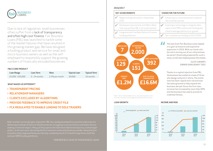

Due to lack of regulation, small businesses often suffer from a lack of transparency and often high cost finance. Fair Business Loans (FBL) was launched to tackle some of the market failures that have resulted in this growing market gap. We have designed a funding product and service for small and micro-business owners as well as the selfemployed to responsibly support the growing numbers of financially excluded businesses.

#### **FBL'S CORE PRODUCT**

| Loan Range       | Loan Term       | Rate           | <b>Typical Loan</b> | <b>Typical Term</b> |
|------------------|-----------------|----------------|---------------------|---------------------|
| £5.000 - £50.000 | $3 - 24$ months | 2-5% per month | £9.000              | 16 months           |

#### **WHAT MAKES US DIFFERENT?**

- **> TRANSPARENT PRICING**
- **> RELATIONSHIP MANAGERS**
- **> CLIENTS EXCLUDED BY ALGORITHMS**
- **> PROVIDE FEEDBACK TO IMPROVE CREDIT FILE**
- **> FCA REGULATED TO ENABLE LENDING TO SOLE TRADERS**

*After another successful year of growth, FBL has rapidly developed to a position where we are delivering hundreds of loans to small businesses struggling to access finance and where we are to build a fully integrated bank partnership, and being the first to build integrations with the national SME funding platforms.*

- ROB BENFIELD, HEAD OF FAIR BUSINESS LOANS

#### **2016/2017**

| <b>KEY ACHIEVEMENTS</b> |                                                                                        | <b>VISION FOR THE FUTURE</b> |                                                                                       |
|-------------------------|----------------------------------------------------------------------------------------|------------------------------|---------------------------------------------------------------------------------------|
|                         | Began lending nationally in September<br>2015                                          | $\overline{\mathscr{L}}$     | Enhancing our online presence to improve<br>the customer journey                      |
|                         | Developed a partnership with Metro Bank<br>that now profiles FBL in all local branches | $\overline{\mathcal{L}}$     | Investing in technology to integrate data<br>capture and CRM systems with lending and |
|                         | Integrated with the Bank Referral Scheme                                               |                              | client brokerage platforms for growth                                                 |
|                         | funding platforms                                                                      |                              | Set to double our lending in 2017/2018                                                |



\*GVA is Gross Value Added and is calculated based on the Economic Impact Tool designed by Responsible Finance.



*The loan from Fair Business Loans helped in a year of massive and expensive expansion in 2016. With our hand a bit forced in moving out of our old premises, we weren't financially prepared for such a move, so the loan helped grease the wheels.* |<br>|<br>|

> **- ALEX CHENERY, OWNER DARK BUNNY TEES**

**Thanks to a capital injection from FBL, the business has scaled to a team of three who design and print t-shirts. The initial loan has been repaid and a second loan has been granted to help expand the business abroad. Since the first loan, turnover has increased by more than 60% and the business has clearly proved its creditworthiness.**

**LOAN GROWTH INCOME AND RISK**

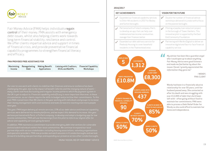

Fair Money Advice (FMA) helps individuals regain control of their money. FMA assists with emergency debt issues, whilst also helping clients work towards long term financial stability, resilience and control. We offer clients impartial advice and support in times of financial crisis, and provide preventative financial capability programmes to strengthen financial literacy and efficacy.

#### **FMA PROVIDES FREE ASSISTANCE FOR**

| Income | Maximizing Renegotiating<br>Debt | <b>Making Benefit</b><br><b>Applications</b> | Liaising with Creditors, Financial Capability<br><b>DCAs and Bailiffs</b> | Workshops |
|--------|----------------------------------|----------------------------------------------|---------------------------------------------------------------------------|-----------|
|        |                                  |                                              |                                                                           |           |

*challenging this year, due to the impact of benefit reforms and the changing nature of work – the UK is yet to adjust to. Financial capability and efficacy is more important than ever, in these circumstances, as our clients require the skills to budget and prioritise their commitments. To this end, FMA trained more than 90 clients in the year working with individuals and groups to increase next year.* 

*we have partnered with Pariti, a FinTech company, to develop and adapt a budgeting app for low income communities. FMA will use the learnings from this pilot to inform our digital offer for advice and capability services going forward.*

*In addition, FMA maintains a commitment to provide emergency debt interventions for vulnerable and specialist providers. FMA now provides outreach sessions in 4 London boroughs and we look forward to building new partnerships and expanding our presence across other London boroughs.*

- MUNA YASSIN, MD OF FAIR MONEY ADVICE

#### **2016/2017**

| <b>KEY ACHIEVEMENTS</b> |                                                                                                                                                           | <b>VISION FOR THE FUTURE</b> |                                                                                                                                                               |
|-------------------------|-----------------------------------------------------------------------------------------------------------------------------------------------------------|------------------------------|---------------------------------------------------------------------------------------------------------------------------------------------------------------|
|                         | Expanded our financial capability services<br>to Orbit HA residents in 2017 for Bexley<br>and Sutton boroughs                                             |                              | Double the number of financial advice<br>workshops delivered in London with a focus<br>on the poorest boroughs.                                               |
|                         | Partnered with a Fintech company, Pariti,<br>to develop an app that can help over<br>indebted and low income communities<br>manage their finances better. |                              | Piloting a 'payday loan reduction' project<br>in the borough of Tower Hamlets. This<br>innovative pilot is supported by the East<br>End Community Foundation. |
|                         | Expanded our debt advisory service for<br>Peabody Housing to cover leasehold<br>residents in the Thamesmead area.                                         |                              | Partnering with We Are Digital to deliver an<br>innovative digital and face-to-face financial<br>capability service                                           |



*who I could open up to about anything. Fair Money Advice were good listeners and made me feel better by about the issues I faced. I greatly appreciated the information they gave me."*

> **- WENDY, FMA CLIENT**

**Wendy had been in a financially abusive relationship for over 50 years, until her husband passed away. She contacted us after his death and was struggling with over £12,000 of debt that she'd been left with - often going without food to maintain her commitments. FMA were able to process a Debt Relief Order for Wendy so she could afford to maintain her home and independence.**

BAME: Black And Minority Ethnic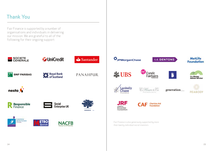# Thank You

Fair Finance is supported by a number of organisations and individuals in delivering our mission. We are grateful to all of the following for their ongoing support: